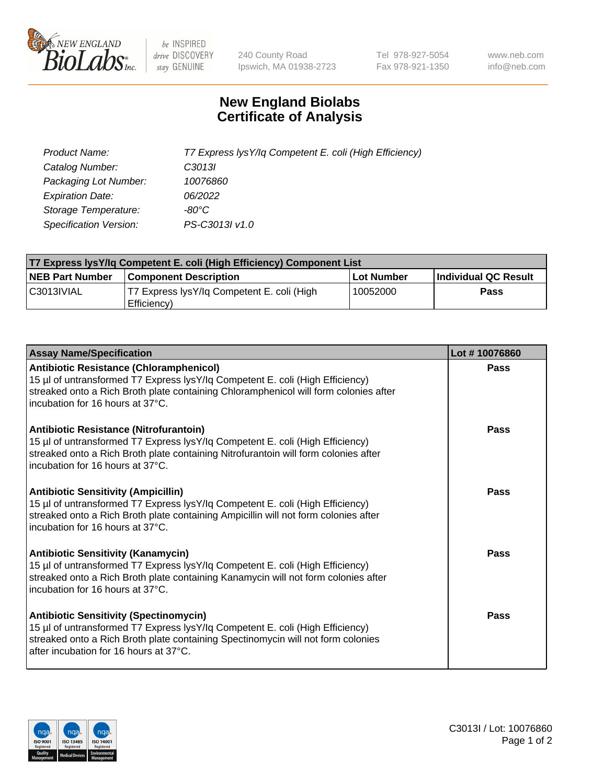

 $be$  INSPIRED drive DISCOVERY stay GENUINE

240 County Road Ipswich, MA 01938-2723 Tel 978-927-5054 Fax 978-921-1350 www.neb.com info@neb.com

## **New England Biolabs Certificate of Analysis**

| Product Name:                 | T7 Express lysY/lq Competent E. coli (High Efficiency) |
|-------------------------------|--------------------------------------------------------|
| Catalog Number:               | C3013I                                                 |
| Packaging Lot Number:         | 10076860                                               |
| <b>Expiration Date:</b>       | 06/2022                                                |
| Storage Temperature:          | -80°C                                                  |
| <b>Specification Version:</b> | PS-C3013I v1.0                                         |

| <b>T7 Express lysY/lg Competent E. coli (High Efficiency) Component List</b> |                                                           |            |                      |  |
|------------------------------------------------------------------------------|-----------------------------------------------------------|------------|----------------------|--|
| <b>NEB Part Number</b>                                                       | <b>Component Description</b>                              | Lot Number | Individual QC Result |  |
| C3013IVIAL                                                                   | T7 Express lysY/lg Competent E. coli (High<br>Efficiency) | 10052000   | <b>Pass</b>          |  |

| <b>Assay Name/Specification</b>                                                                                                                                                                                                                              | Lot #10076860 |
|--------------------------------------------------------------------------------------------------------------------------------------------------------------------------------------------------------------------------------------------------------------|---------------|
| <b>Antibiotic Resistance (Chloramphenicol)</b><br>15 µl of untransformed T7 Express lysY/lq Competent E. coli (High Efficiency)<br>streaked onto a Rich Broth plate containing Chloramphenicol will form colonies after<br>incubation for 16 hours at 37°C.  | Pass          |
| <b>Antibiotic Resistance (Nitrofurantoin)</b><br>15 µl of untransformed T7 Express lysY/lq Competent E. coli (High Efficiency)<br>streaked onto a Rich Broth plate containing Nitrofurantoin will form colonies after<br>incubation for 16 hours at 37°C.    | Pass          |
| <b>Antibiotic Sensitivity (Ampicillin)</b><br>15 µl of untransformed T7 Express lysY/lq Competent E. coli (High Efficiency)<br>streaked onto a Rich Broth plate containing Ampicillin will not form colonies after<br>incubation for 16 hours at 37°C.       | Pass          |
| <b>Antibiotic Sensitivity (Kanamycin)</b><br>15 µl of untransformed T7 Express lysY/lq Competent E. coli (High Efficiency)<br>streaked onto a Rich Broth plate containing Kanamycin will not form colonies after<br>incubation for 16 hours at 37°C.         | <b>Pass</b>   |
| <b>Antibiotic Sensitivity (Spectinomycin)</b><br>15 µl of untransformed T7 Express lysY/lq Competent E. coli (High Efficiency)<br>streaked onto a Rich Broth plate containing Spectinomycin will not form colonies<br>after incubation for 16 hours at 37°C. | Pass          |